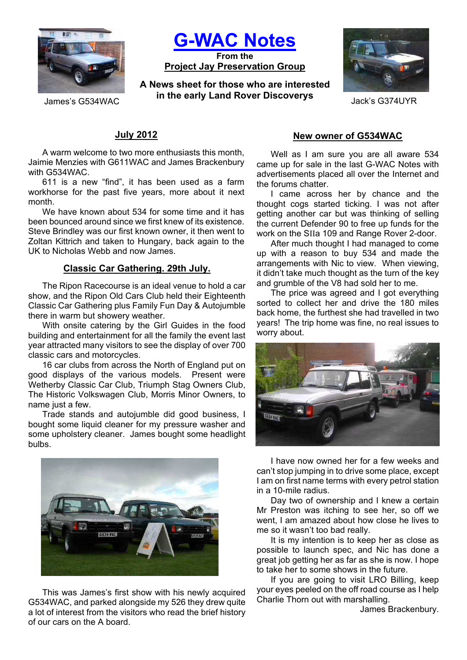

**G-WAC Notes**

**From the Project Jay Preservation Group**

**A News sheet for those who are interested in the early Land Rover Discoverys** James's G534WAC Jack's G374UYR



### **July 2012**

A warm welcome to two more enthusiasts this month, Jaimie Menzies with G611WAC and James Brackenbury with G534WAC.

611 is a new "find", it has been used as a farm workhorse for the past five years, more about it next month.

We have known about 534 for some time and it has been bounced around since we first knew of its existence. Steve Brindley was our first known owner, it then went to Zoltan Kittrich and taken to Hungary, back again to the UK to Nicholas Webb and now James.

### **Classic Car Gathering. 29th July.**

The Ripon Racecourse is an ideal venue to hold a car show, and the Ripon Old Cars Club held their Eighteenth Classic Car Gathering plus Family Fun Day & Autojumble there in warm but showery weather.

With onsite catering by the Girl Guides in the food building and entertainment for all the family the event last year attracted many visitors to see the display of over 700 classic cars and motorcycles.

16 car clubs from across the North of England put on good displays of the various models. Present were Wetherby Classic Car Club, Triumph Stag Owners Club, The Historic Volkswagen Club, Morris Minor Owners, to name just a few.

Trade stands and autojumble did good business, I bought some liquid cleaner for my pressure washer and some upholstery cleaner. James bought some headlight bulbs.



This was James's first show with his newly acquired G534WAC, and parked alongside my 526 they drew quite a lot of interest from the visitors who read the brief history of our cars on the A board.

#### **New owner of G534WAC**

Well as I am sure you are all aware 534 came up for sale in the last G-WAC Notes with advertisements placed all over the Internet and the forums chatter.

I came across her by chance and the thought cogs started ticking. I was not after getting another car but was thinking of selling the current Defender 90 to free up funds for the work on the SIIa 109 and Range Rover 2-door.

After much thought I had managed to come up with a reason to buy 534 and made the arrangements with Nic to view. When viewing, it didn't take much thought as the turn of the key and grumble of the V8 had sold her to me.

The price was agreed and I got everything sorted to collect her and drive the 180 miles back home, the furthest she had travelled in two years! The trip home was fine, no real issues to worry about.



I have now owned her for a few weeks and can't stop jumping in to drive some place, except I am on first name terms with every petrol station in a 10-mile radius.

Day two of ownership and I knew a certain Mr Preston was itching to see her, so off we went, I am amazed about how close he lives to me so it wasn't too bad really.

It is my intention is to keep her as close as possible to launch spec, and Nic has done a great job getting her as far as she is now. I hope to take her to some shows in the future.

If you are going to visit LRO Billing, keep your eyes peeled on the off road course as I help Charlie Thorn out with marshalling.

James Brackenbury.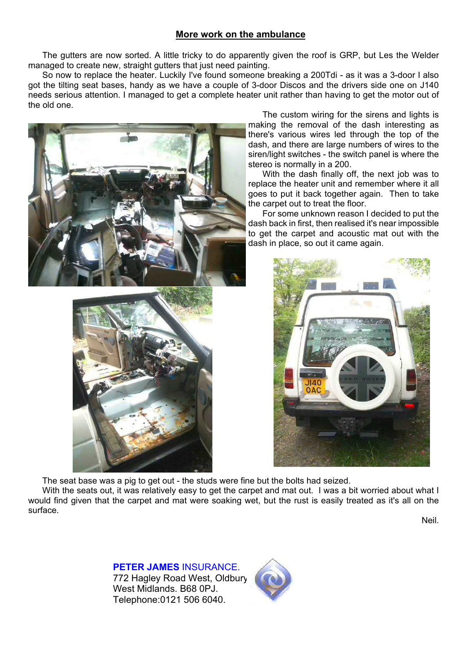### **More work on the ambulance**

The gutters are now sorted. A little tricky to do apparently given the roof is GRP, but Les the Welder managed to create new, straight gutters that just need painting.

So now to replace the heater. Luckily I've found someone breaking a 200Tdi - as it was a 3-door I also got the tilting seat bases, handy as we have a couple of 3-door Discos and the drivers side one on J140 needs serious attention. I managed to get a complete heater unit rather than having to get the motor out of the old one.





The custom wiring for the sirens and lights is making the removal of the dash interesting as there's various wires led through the top of the dash, and there are large numbers of wires to the siren/light switches - the switch panel is where the stereo is normally in a 200.

With the dash finally off, the next job was to replace the heater unit and remember where it all goes to put it back together again. Then to take the carpet out to treat the floor.

For some unknown reason I decided to put the dash back in first, then realised it's near impossible to get the carpet and acoustic mat out with the dash in place, so out it came again.



The seat base was a pig to get out - the studs were fine but the bolts had seized.

With the seats out, it was relatively easy to get the carpet and mat out. I was a bit worried about what I would find given that the carpet and mat were soaking wet, but the rust is easily treated as it's all on the surface.

Neil.

**PETER JAMES** INSURANCE. 772 Hagley Road West, Oldbury, West Midlands. B68 0PJ. Telephone:0121 506 6040.

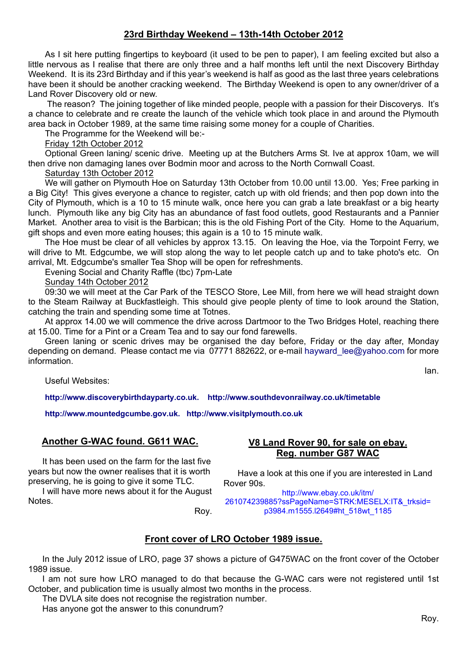# **23rd Birthday Weekend – 13th-14th October 2012**

As I sit here putting fingertips to keyboard (it used to be pen to paper), I am feeling excited but also a little nervous as I realise that there are only three and a half months left until the next Discovery Birthday Weekend. It is its 23rd Birthday and if this year's weekend is half as good as the last three years celebrations have been it should be another cracking weekend. The Birthday Weekend is open to any owner/driver of a Land Rover Discovery old or new.

 The reason? The joining together of like minded people, people with a passion for their Discoverys. It's a chance to celebrate and re create the launch of the vehicle which took place in and around the Plymouth area back in October 1989, at the same time raising some money for a couple of Charities.

The Programme for the Weekend will be:-

#### Friday 12th October 2012

Optional Green laning/ scenic drive. Meeting up at the Butchers Arms St. Ive at approx 10am, we will then drive non damaging lanes over Bodmin moor and across to the North Cornwall Coast.

### Saturday 13th October 2012

We will gather on Plymouth Hoe on Saturday 13th October from 10.00 until 13.00. Yes; Free parking in a Big City! This gives everyone a chance to register, catch up with old friends; and then pop down into the City of Plymouth, which is a 10 to 15 minute walk, once here you can grab a late breakfast or a big hearty lunch. Plymouth like any big City has an abundance of fast food outlets, good Restaurants and a Pannier Market. Another area to visit is the Barbican; this is the old Fishing Port of the City. Home to the Aquarium, gift shops and even more eating houses; this again is a 10 to 15 minute walk.

The Hoe must be clear of all vehicles by approx 13.15. On leaving the Hoe, via the Torpoint Ferry, we will drive to Mt. Edgcumbe, we will stop along the way to let people catch up and to take photo's etc. On arrival, Mt. Edgcumbe's smaller Tea Shop will be open for refreshments.

Evening Social and Charity Raffle (tbc) 7pm-Late

#### Sunday 14th October 2012

09:30 we will meet at the Car Park of the TESCO Store, Lee Mill, from here we will head straight down to the Steam Railway at Buckfastleigh. This should give people plenty of time to look around the Station, catching the train and spending some time at Totnes.

At approx 14.00 we will commence the drive across Dartmoor to the Two Bridges Hotel, reaching there at 15.00. Time for a Pint or a Cream Tea and to say our fond farewells.

Green laning or scenic drives may be organised the day before, Friday or the day after, Monday depending on demand. Please contact me via 07771 882622, or e-mail hayward lee@yahoo.com for more information.

Useful Websites:

**http://www.discoverybirthdayparty.co.uk. http://www.southdevonrailway.co.uk/timetable** 

**http://www.mountedgcumbe.gov.uk. http://www.visitplymouth.co.uk**

### **Another G-WAC found. G611 WAC.**

It has been used on the farm for the last five years but now the owner realises that it is worth preserving, he is going to give it some TLC.

I will have more news about it for the August Notes.

### **V8 Land Rover 90, for sale on ebay. Reg. number G87 WAC**

Have a look at this one if you are interested in Land Rover 90s.

http://www.ebay.co.uk/itm/ 261074239885?ssPageName=STRK:MESELX:IT&\_trksid= p3984.m1555.l2649#ht\_518wt\_1185

Roy.

### **Front cover of LRO October 1989 issue.**

In the July 2012 issue of LRO, page 37 shows a picture of G475WAC on the front cover of the October 1989 issue.

I am not sure how LRO managed to do that because the G-WAC cars were not registered until 1st October, and publication time is usually almost two months in the process.

The DVLA site does not recognise the registration number.

Has anyone got the answer to this conundrum?

Ian.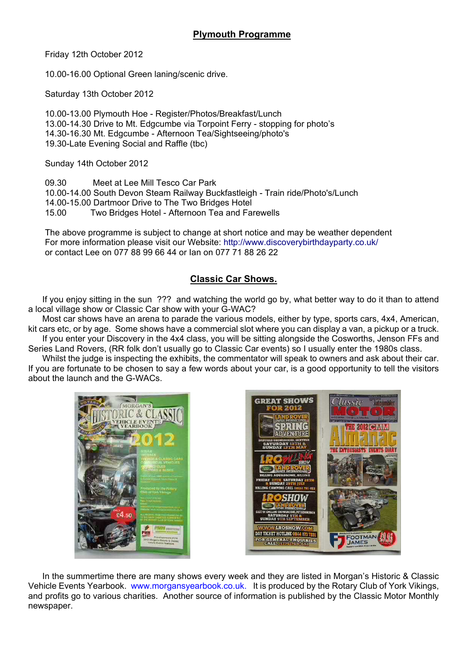Friday 12th October 2012

10.00-16.00 Optional Green laning/scenic drive.

Saturday 13th October 2012

10.00-13.00 Plymouth Hoe - Register/Photos/Breakfast/Lunch 13.00-14.30 Drive to Mt. Edgcumbe via Torpoint Ferry - stopping for photo's 14.30-16.30 Mt. Edgcumbe - Afternoon Tea/Sightseeing/photo's 19.30-Late Evening Social and Raffle (tbc)

Sunday 14th October 2012

09.30 Meet at Lee Mill Tesco Car Park 10.00-14.00 South Devon Steam Railway Buckfastleigh - Train ride/Photo's/Lunch 14.00-15.00 Dartmoor Drive to The Two Bridges Hotel 15.00 Two Bridges Hotel - Afternoon Tea and Farewells

The above programme is subject to change at short notice and may be weather dependent For more information please visit our Website: http://www.discoverybirthdayparty.co.uk/ or contact Lee on 077 88 99 66 44 or Ian on 077 71 88 26 22

### **Classic Car Shows.**

If you enjoy sitting in the sun ??? and watching the world go by, what better way to do it than to attend a local village show or Classic Car show with your G-WAC?

Most car shows have an arena to parade the various models, either by type, sports cars, 4x4, American, kit cars etc, or by age. Some shows have a commercial slot where you can display a van, a pickup or a truck. If you enter your Discovery in the 4x4 class, you will be sitting alongside the Cosworths, Jenson FFs and Series Land Rovers, (RR folk don't usually go to Classic Car events) so I usually enter the 1980s class.

Whilst the judge is inspecting the exhibits, the commentator will speak to owners and ask about their car. If you are fortunate to be chosen to say a few words about your car, is a good opportunity to tell the visitors about the launch and the G-WACs.





In the summertime there are many shows every week and they are listed in Morgan's Historic & Classic Vehicle Events Yearbook. www.morgansyearbook.co.uk. It is produced by the Rotary Club of York Vikings, and profits go to various charities. Another source of information is published by the Classic Motor Monthly newspaper.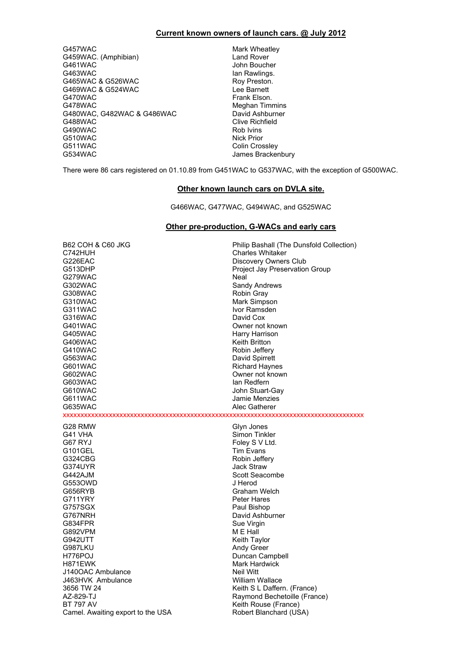#### **Current known owners of launch cars. @ July 2012**

G457WAC Mark Wheatley<br>G459WAC. (Amphibian) G459WAC. (Amphibian) G459WAC. (Amphibian)<br>G461WAC G461WAC John Boucher<br>G463WAC John Boucher<br>Jan Rawlings. G465WAC & G526WAC <br>G469WAC & G524WAC **Roy Preston.** Lee Barnett G469WAC & G524WAC<br>G470WAC G478WAC<br>
G480WAC, G482WAC & G486WAC<br>
David Ashburner G480WAC, G482WAC & G486WAC<br>G488WAC G490WAC Rob Ivins<br>
G510WAC ROB IVINS ROB IVINS RIGHT G510WAC<br>G511WAC G511WAC Colin Crossley<br>G534WAC Colin Crossley<br>James Bracker

lan Rawlings.<br>Roy Preston. Frank Elson. **Clive Richfield** James Brackenbury

There were 86 cars registered on 01.10.89 from G451WAC to G537WAC, with the exception of G500WAC.

#### **Other known launch cars on DVLA site.**

G466WAC, G477WAC, G494WAC, and G525WAC

#### **Other pre-production, G-WACs and early cars**

| <b>B62 COH &amp; C60 JKG</b>      | Philip Bashall (The Dunsfold Collection) |
|-----------------------------------|------------------------------------------|
| C742HUH                           | <b>Charles Whitaker</b>                  |
| G226EAC                           | Discovery Owners Club                    |
| G513DHP                           | Project Jay Preservation Group           |
| G279WAC                           | Neal                                     |
| G302WAC                           | Sandy Andrews                            |
| G308WAC                           | Robin Gray                               |
| G310WAC                           | Mark Simpson                             |
| G311WAC                           | Ivor Ramsden                             |
| G316WAC                           | David Cox                                |
| G401WAC                           | Owner not known                          |
| G405WAC                           | Harry Harrison                           |
| G406WAC                           | Keith Britton                            |
| G410WAC                           | Robin Jeffery                            |
| G563WAC                           | David Spirrett                           |
| G601WAC                           | <b>Richard Haynes</b>                    |
| G602WAC                           | Owner not known                          |
| G603WAC                           | lan Redfern                              |
| G610WAC                           | John Stuart-Gay                          |
| G611WAC                           | Jamie Menzies                            |
| G635WAC                           | Alec Gatherer                            |
|                                   |                                          |
| G28 RMW                           | Glyn Jones                               |
| G41 VHA                           | Simon Tinkler                            |
| G67 RYJ                           | Foley S V Ltd.                           |
| G101GEL                           | <b>Tim Evans</b>                         |
| G324CBG                           | Robin Jeffery                            |
| G374UYR                           | <b>Jack Straw</b>                        |
| G442AJM                           | Scott Seacombe                           |
| G5530WD                           | J Herod                                  |
| G656RYB                           | Graham Welch                             |
| G711YRY                           | Peter Hares                              |
| G757SGX                           | Paul Bishop                              |
| G767NRH                           | David Ashburner                          |
| G834FPR                           | Sue Virgin                               |
| G892VPM                           | M E Hall                                 |
| G942UTT                           | Keith Taylor                             |
| G987LKU                           | <b>Andy Greer</b>                        |
| H776POJ                           | Duncan Campbell                          |
| H871EWK                           | <b>Mark Hardwick</b>                     |
| J140OAC Ambulance                 | Neil Witt                                |
| J463HVK Ambulance                 | William Wallace                          |
| 3656 TW 24                        | Keith S L Daffern. (France)              |
| AZ-829-TJ                         | Raymond Bechetoille (France)             |
| <b>BT 797 AV</b>                  | Keith Rouse (France)                     |
| Camel. Awaiting export to the USA | Robert Blanchard (USA)                   |